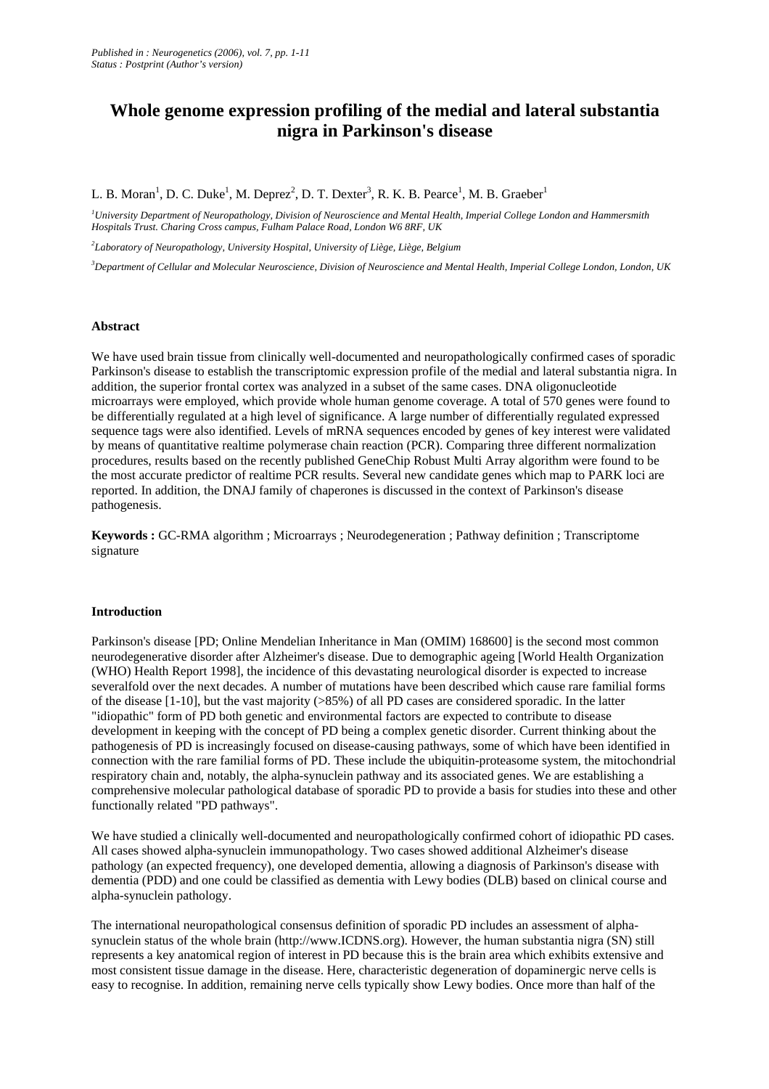# **Whole genome expression profiling of the medial and lateral substantia nigra in Parkinson's disease**

## L. B. Moran<sup>1</sup>, D. C. Duke<sup>1</sup>, M. Deprez<sup>2</sup>, D. T. Dexter<sup>3</sup>, R. K. B. Pearce<sup>1</sup>, M. B. Graeber<sup>1</sup>

*<sup>1</sup>University Department of Neuropathology, Division of Neuroscience and Mental Health, Imperial College London and Hammersmith Hospitals Trust. Charing Cross campus, Fulham Palace Road, London W6 8RF, UK* 

*2 Laboratory of Neuropathology, University Hospital, University of Liège, Liège, Belgium* 

*<sup>3</sup>Department of Cellular and Molecular Neuroscience, Division of Neuroscience and Mental Health, Imperial College London, London, UK* 

#### **Abstract**

We have used brain tissue from clinically well-documented and neuropathologically confirmed cases of sporadic Parkinson's disease to establish the transcriptomic expression profile of the medial and lateral substantia nigra. In addition, the superior frontal cortex was analyzed in a subset of the same cases. DNA oligonucleotide microarrays were employed, which provide whole human genome coverage. A total of 570 genes were found to be differentially regulated at a high level of significance. A large number of differentially regulated expressed sequence tags were also identified. Levels of mRNA sequences encoded by genes of key interest were validated by means of quantitative realtime polymerase chain reaction (PCR). Comparing three different normalization procedures, results based on the recently published GeneChip Robust Multi Array algorithm were found to be the most accurate predictor of realtime PCR results. Several new candidate genes which map to PARK loci are reported. In addition, the DNAJ family of chaperones is discussed in the context of Parkinson's disease pathogenesis.

**Keywords :** GC-RMA algorithm ; Microarrays ; Neurodegeneration ; Pathway definition ; Transcriptome signature

#### **Introduction**

Parkinson's disease [PD; Online Mendelian Inheritance in Man (OMIM) 168600] is the second most common neurodegenerative disorder after Alzheimer's disease. Due to demographic ageing [World Health Organization (WHO) Health Report 1998], the incidence of this devastating neurological disorder is expected to increase severalfold over the next decades. A number of mutations have been described which cause rare familial forms of the disease  $[1-10]$ , but the vast majority ( $>85\%$ ) of all PD cases are considered sporadic. In the latter "idiopathic" form of PD both genetic and environmental factors are expected to contribute to disease development in keeping with the concept of PD being a complex genetic disorder. Current thinking about the pathogenesis of PD is increasingly focused on disease-causing pathways, some of which have been identified in connection with the rare familial forms of PD. These include the ubiquitin-proteasome system, the mitochondrial respiratory chain and, notably, the alpha-synuclein pathway and its associated genes. We are establishing a comprehensive molecular pathological database of sporadic PD to provide a basis for studies into these and other functionally related "PD pathways".

We have studied a clinically well-documented and neuropathologically confirmed cohort of idiopathic PD cases. All cases showed alpha-synuclein immunopathology. Two cases showed additional Alzheimer's disease pathology (an expected frequency), one developed dementia, allowing a diagnosis of Parkinson's disease with dementia (PDD) and one could be classified as dementia with Lewy bodies (DLB) based on clinical course and alpha-synuclein pathology.

The international neuropathological consensus definition of sporadic PD includes an assessment of alphasynuclein status of the whole brain (http://www.ICDNS.org). However, the human substantia nigra (SN) still represents a key anatomical region of interest in PD because this is the brain area which exhibits extensive and most consistent tissue damage in the disease. Here, characteristic degeneration of dopaminergic nerve cells is easy to recognise. In addition, remaining nerve cells typically show Lewy bodies. Once more than half of the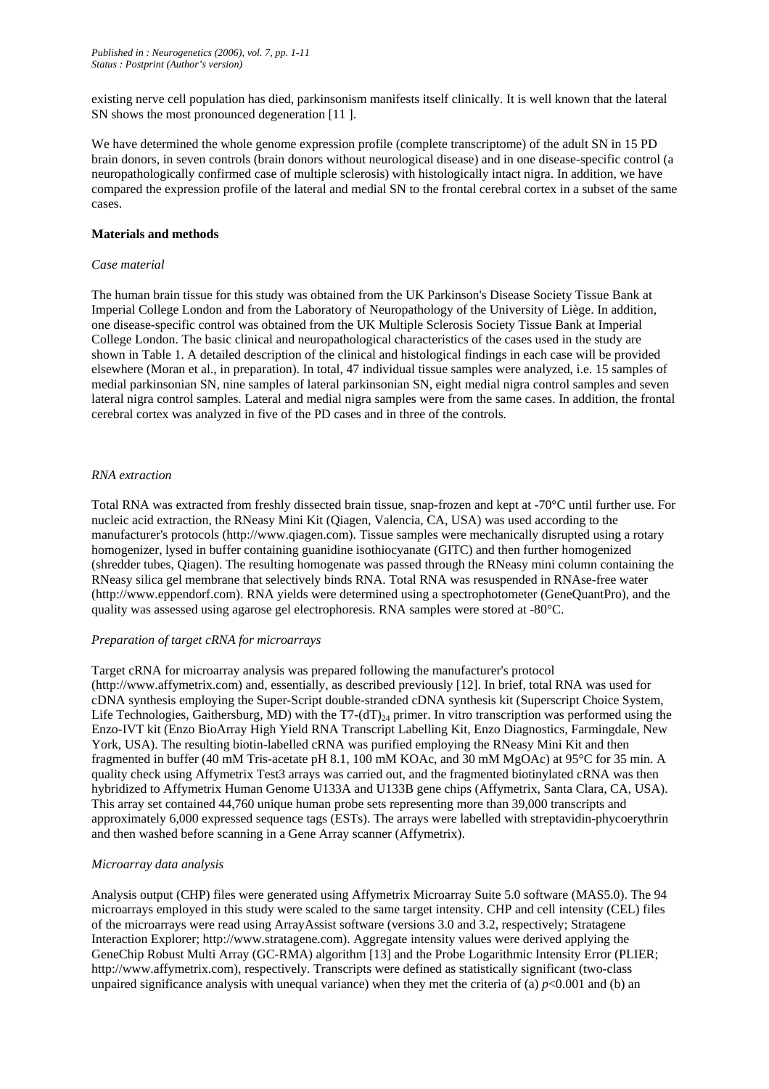existing nerve cell population has died, parkinsonism manifests itself clinically. It is well known that the lateral SN shows the most pronounced degeneration [11 ].

We have determined the whole genome expression profile (complete transcriptome) of the adult SN in 15 PD brain donors, in seven controls (brain donors without neurological disease) and in one disease-specific control (a neuropathologically confirmed case of multiple sclerosis) with histologically intact nigra. In addition, we have compared the expression profile of the lateral and medial SN to the frontal cerebral cortex in a subset of the same cases.

## **Materials and methods**

## *Case material*

The human brain tissue for this study was obtained from the UK Parkinson's Disease Society Tissue Bank at Imperial College London and from the Laboratory of Neuropathology of the University of Liège. In addition, one disease-specific control was obtained from the UK Multiple Sclerosis Society Tissue Bank at Imperial College London. The basic clinical and neuropathological characteristics of the cases used in the study are shown in Table 1. A detailed description of the clinical and histological findings in each case will be provided elsewhere (Moran et al., in preparation). In total, 47 individual tissue samples were analyzed, i.e. 15 samples of medial parkinsonian SN, nine samples of lateral parkinsonian SN, eight medial nigra control samples and seven lateral nigra control samples. Lateral and medial nigra samples were from the same cases. In addition, the frontal cerebral cortex was analyzed in five of the PD cases and in three of the controls.

## *RNA extraction*

Total RNA was extracted from freshly dissected brain tissue, snap-frozen and kept at -70°C until further use. For nucleic acid extraction, the RNeasy Mini Kit (Qiagen, Valencia, CA, USA) was used according to the manufacturer's protocols (http://www.qiagen.com). Tissue samples were mechanically disrupted using a rotary homogenizer, lysed in buffer containing guanidine isothiocyanate (GITC) and then further homogenized (shredder tubes, Qiagen). The resulting homogenate was passed through the RNeasy mini column containing the RNeasy silica gel membrane that selectively binds RNA. Total RNA was resuspended in RNAse-free water (http://www.eppendorf.com). RNA yields were determined using a spectrophotometer (GeneQuantPro), and the quality was assessed using agarose gel electrophoresis. RNA samples were stored at -80°C.

#### *Preparation of target cRNA for microarrays*

Target cRNA for microarray analysis was prepared following the manufacturer's protocol (http://www.affymetrix.com) and, essentially, as described previously [12]. In brief, total RNA was used for cDNA synthesis employing the Super-Script double-stranded cDNA synthesis kit (Superscript Choice System, Life Technologies, Gaithersburg, MD) with the T7-(dT)<sub>24</sub> primer. In vitro transcription was performed using the Enzo-IVT kit (Enzo BioArray High Yield RNA Transcript Labelling Kit, Enzo Diagnostics, Farmingdale, New York, USA). The resulting biotin-labelled cRNA was purified employing the RNeasy Mini Kit and then fragmented in buffer (40 mM Tris-acetate pH 8.1, 100 mM KOAc, and 30 mM MgOAc) at 95°C for 35 min. A quality check using Affymetrix Test3 arrays was carried out, and the fragmented biotinylated cRNA was then hybridized to Affymetrix Human Genome U133A and U133B gene chips (Affymetrix, Santa Clara, CA, USA). This array set contained 44,760 unique human probe sets representing more than 39,000 transcripts and approximately 6,000 expressed sequence tags (ESTs). The arrays were labelled with streptavidin-phycoerythrin and then washed before scanning in a Gene Array scanner (Affymetrix).

## *Microarray data analysis*

Analysis output (CHP) files were generated using Affymetrix Microarray Suite 5.0 software (MAS5.0). The 94 microarrays employed in this study were scaled to the same target intensity. CHP and cell intensity (CEL) files of the microarrays were read using ArrayAssist software (versions 3.0 and 3.2, respectively; Stratagene Interaction Explorer; http://www.stratagene.com). Aggregate intensity values were derived applying the GeneChip Robust Multi Array (GC-RMA) algorithm [13] and the Probe Logarithmic Intensity Error (PLIER; http://www.affymetrix.com), respectively. Transcripts were defined as statistically significant (two-class unpaired significance analysis with unequal variance) when they met the criteria of (a)  $p$ <0.001 and (b) an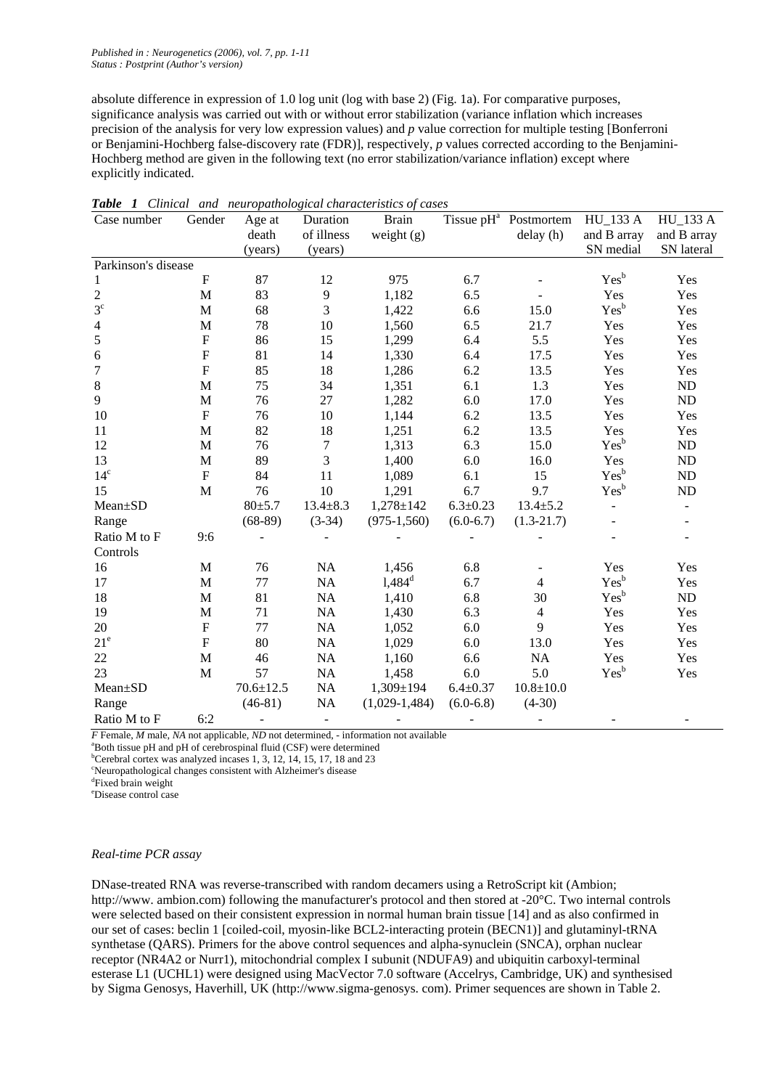absolute difference in expression of 1.0 log unit (log with base 2) (Fig. 1a). For comparative purposes, significance analysis was carried out with or without error stabilization (variance inflation which increases precision of the analysis for very low expression values) and *p* value correction for multiple testing [Bonferroni or Benjamini-Hochberg false-discovery rate (FDR)], respectively, *p* values corrected according to the Benjamini-Hochberg method are given in the following text (no error stabilization/variance inflation) except where explicitly indicated.

| Case number              | Gender                    | Age at          | Duration         | <b>Brain</b>    |                | Tissue pH <sup>a</sup> Postmortem | <b>HU_133 A</b>  | <b>HU_133 A</b> |
|--------------------------|---------------------------|-----------------|------------------|-----------------|----------------|-----------------------------------|------------------|-----------------|
|                          |                           | death           | of illness       | weight $(g)$    |                | delay (h)                         | and B array      | and B array     |
|                          |                           | (years)         | (years)          |                 |                |                                   | SN medial        | SN lateral      |
| Parkinson's disease      |                           |                 |                  |                 |                |                                   |                  |                 |
| 1                        | $\boldsymbol{\mathrm{F}}$ | 87              | 12               | 975             | 6.7            |                                   | Yes <sup>b</sup> | Yes             |
| $\overline{c}$           | M                         | 83              | 9                | 1,182           | 6.5            |                                   | Yes              | Yes             |
| $3^{\circ}$              | M                         | 68              | 3                | 1,422           | 6.6            | 15.0                              | Yes <sup>b</sup> | Yes             |
| $\overline{\mathcal{A}}$ | M                         | 78              | 10               | 1,560           | 6.5            | 21.7                              | Yes              | Yes             |
| 5                        | $\boldsymbol{\mathrm{F}}$ | 86              | 15               | 1,299           | 6.4            | 5.5                               | Yes              | Yes             |
| $\sqrt{6}$               | ${\bf F}$                 | 81              | 14               | 1,330           | 6.4            | 17.5                              | Yes              | Yes             |
| $\overline{7}$           | $\boldsymbol{\mathrm{F}}$ | 85              | 18               | 1,286           | 6.2            | 13.5                              | Yes              | Yes             |
| $8\,$                    | $\mathbf{M}$              | 75              | 34               | 1,351           | 6.1            | 1.3                               | Yes              | ND              |
| 9                        | M                         | 76              | 27               | 1,282           | 6.0            | 17.0                              | Yes              | ND              |
| 10                       | $\boldsymbol{\mathrm{F}}$ | 76              | 10               | 1,144           | 6.2            | 13.5                              | Yes              | Yes             |
| 11                       | $\mathbf{M}$              | 82              | 18               | 1,251           | 6.2            | 13.5                              | Yes              | Yes             |
| 12                       | M                         | 76              | $\boldsymbol{7}$ | 1,313           | 6.3            | 15.0                              | Yes <sup>b</sup> | $\rm ND$        |
| 13                       | $\mathbf M$               | 89              | 3                | 1,400           | 6.0            | 16.0                              | Yes              | ${\rm ND}$      |
| 14 <sup>c</sup>          | $\boldsymbol{\mathrm{F}}$ | 84              | 11               | 1,089           | 6.1            | 15                                | $Yes^b$          | ${\rm ND}$      |
| 15                       | M                         | 76              | 10               | 1,291           | 6.7            | 9.7                               | Yes <sup>b</sup> | ${\rm ND}$      |
| Mean±SD                  |                           | $80+5.7$        | $13.4 \pm 8.3$   | $1,278 \pm 142$ | $6.3 \pm 0.23$ | $13.4 \pm 5.2$                    |                  |                 |
| Range                    |                           | $(68-89)$       | $(3-34)$         | $(975-1,560)$   | $(6.0-6.7)$    | $(1.3-21.7)$                      |                  |                 |
| Ratio M to F             | 9:6                       |                 |                  |                 |                |                                   |                  |                 |
| Controls                 |                           |                 |                  |                 |                |                                   |                  |                 |
| 16                       | M                         | 76              | NA               | 1,456           | 6.8            |                                   | Yes              | Yes             |
| 17                       | $\mathbf M$               | 77              | NA               | $1,484^d$       | 6.7            | $\overline{4}$                    | Yes <sup>b</sup> | Yes             |
| 18                       | M                         | 81              | NA               | 1,410           | 6.8            | 30                                | Yes <sup>b</sup> | ND              |
| 19                       | $\mathbf M$               | 71              | $\rm NA$         | 1,430           | 6.3            | $\overline{4}$                    | Yes              | Yes             |
| $20\,$                   | ${\bf F}$                 | 77              | NA               | 1,052           | 6.0            | $\overline{9}$                    | Yes              | Yes             |
| $21^e$                   | $\mathbf F$               | 80              | NA               | 1,029           | 6.0            | 13.0                              | Yes              | Yes             |
| 22                       | M                         | 46              | $\rm NA$         | 1,160           | 6.6            | NA                                | Yes              | Yes             |
| 23                       | M                         | 57              | NA               | 1,458           | 6.0            | 5.0                               | Yes <sup>b</sup> | Yes             |
| Mean±SD                  |                           | $70.6 \pm 12.5$ | NA               | $1,309 \pm 194$ | $6.4 \pm 0.37$ | $10.8 + 10.0$                     |                  |                 |
| Range                    |                           | $(46-81)$       | NA               | $(1,029-1,484)$ | $(6.0-6.8)$    | $(4-30)$                          |                  |                 |
| Ratio M to F             | 6:2                       |                 | $\blacksquare$   |                 |                |                                   |                  |                 |

*Table 1 Clinical and neuropathological characteristics of cases*

*F* Female, *M* male, *NA* not applicable, *ND* not determined, - information not available

<sup>a</sup>Both tissue pH and pH of cerebrospinal fluid (CSF) were determined

 $b^{\circ}$ Cerebral cortex was analyzed incases 1, 3, 12, 14, 15, 17, 18 and 23

<sup>c</sup>Neuropathological changes consistent with Alzheimer's disease

d Fixed brain weight

<sup>e</sup>Disease control case

#### *Real-time PCR assay*

DNase-treated RNA was reverse-transcribed with random decamers using a RetroScript kit (Ambion; http://www. ambion.com) following the manufacturer's protocol and then stored at -20°C. Two internal controls were selected based on their consistent expression in normal human brain tissue [14] and as also confirmed in our set of cases: beclin 1 [coiled-coil, myosin-like BCL2-interacting protein (BECN1)] and glutaminyl-tRNA synthetase (QARS). Primers for the above control sequences and alpha-synuclein (SNCA), orphan nuclear receptor (NR4A2 or Nurr1), mitochondrial complex I subunit (NDUFA9) and ubiquitin carboxyl-terminal esterase L1 (UCHL1) were designed using MacVector 7.0 software (Accelrys, Cambridge, UK) and synthesised by Sigma Genosys, Haverhill, UK (http://www.sigma-genosys. com). Primer sequences are shown in Table 2.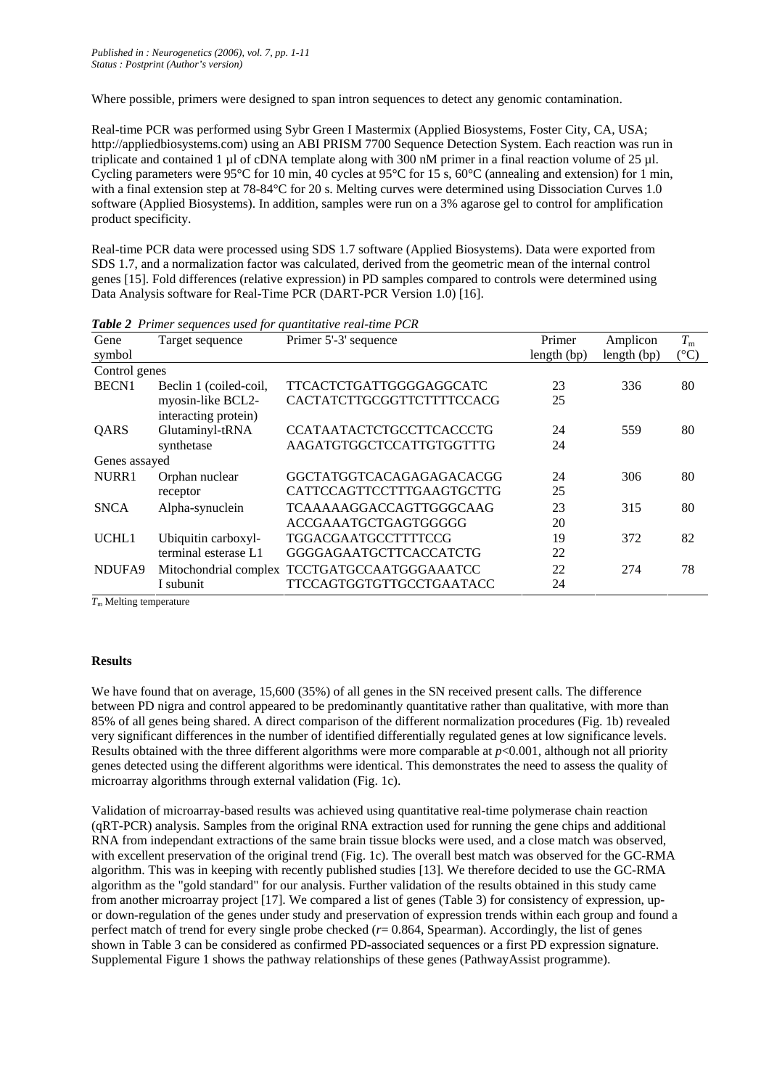Where possible, primers were designed to span intron sequences to detect any genomic contamination.

Real-time PCR was performed using Sybr Green I Mastermix (Applied Biosystems, Foster City, CA, USA; http://appliedbiosystems.com) using an ABI PRISM 7700 Sequence Detection System. Each reaction was run in triplicate and contained 1 µl of cDNA template along with 300 nM primer in a final reaction volume of 25 µl. Cycling parameters were 95<sup>o</sup>C for 10 min, 40 cycles at 95<sup>o</sup>C for 15 s, 60<sup>o</sup>C (annealing and extension) for 1 min, with a final extension step at 78-84°C for 20 s. Melting curves were determined using Dissociation Curves 1.0 software (Applied Biosystems). In addition, samples were run on a 3% agarose gel to control for amplification product specificity.

Real-time PCR data were processed using SDS 1.7 software (Applied Biosystems). Data were exported from SDS 1.7, and a normalization factor was calculated, derived from the geometric mean of the internal control genes [15]. Fold differences (relative expression) in PD samples compared to controls were determined using Data Analysis software for Real-Time PCR (DART-PCR Version 1.0) [16].

| Gene          | Target sequence                           | Primer 5'-3' sequence                        | Primer        | Amplicon      | $T_{\rm m}$   |
|---------------|-------------------------------------------|----------------------------------------------|---------------|---------------|---------------|
| symbol        |                                           |                                              | length $(bp)$ | length $(bp)$ | $(^{\circ}C)$ |
| Control genes |                                           |                                              |               |               |               |
| <b>BECN1</b>  | Beclin 1 (coiled-coil,                    | TTCACTCTGATTGGGGAGGCATC                      | 23            | 336           | 80            |
|               | myosin-like BCL2-<br>interacting protein) | CACTATCTTGCGGTTCTTTTCCACG                    | 25            |               |               |
| QARS          | Glutaminyl-tRNA                           | <b>CCATAATACTCTGCCTTCACCCTG</b>              | 24            | 559           | 80            |
|               | synthetase                                | AAGATGTGGCTCCATTGTGGTTTG                     | 24            |               |               |
| Genes assayed |                                           |                                              |               |               |               |
| NURR1         | Orphan nuclear                            | GGCTATGGTCACAGAGAGACACGG                     | 24            | 306           | 80            |
|               | receptor                                  | CATTCCAGTTCCTTTGAAGTGCTTG                    | 25            |               |               |
| <b>SNCA</b>   | Alpha-synuclein                           | TCAAAAAGGACCAGTTGGGCAAG                      | 23            | 315           | 80            |
|               |                                           | ACCGAAATGCTGAGTGGGGG                         | 20            |               |               |
| UCHL1         | Ubiquitin carboxyl-                       | <b>TGGACGAATGCCTTTTCCG</b>                   | 19            | 372           | 82            |
|               | terminal esterase L1                      | <b>GGGGAGAATGCTTCACCATCTG</b>                | 22            |               |               |
| NDUFA9        |                                           | Mitochondrial complex TCCTGATGCCAATGGGAAATCC | 22            | 274           | 78            |
|               | I subunit                                 | TTCCAGTGGTGTTGCCTGAATACC                     | 24            |               |               |

*Table 2 Primer sequences used for quantitative real-time PCR*

*T*m Melting temperature

## **Results**

We have found that on average, 15,600 (35%) of all genes in the SN received present calls. The difference between PD nigra and control appeared to be predominantly quantitative rather than qualitative, with more than 85% of all genes being shared. A direct comparison of the different normalization procedures (Fig. 1b) revealed very significant differences in the number of identified differentially regulated genes at low significance levels. Results obtained with the three different algorithms were more comparable at *p*<0.001, although not all priority genes detected using the different algorithms were identical. This demonstrates the need to assess the quality of microarray algorithms through external validation (Fig. 1c).

Validation of microarray-based results was achieved using quantitative real-time polymerase chain reaction (qRT-PCR) analysis. Samples from the original RNA extraction used for running the gene chips and additional RNA from independant extractions of the same brain tissue blocks were used, and a close match was observed, with excellent preservation of the original trend (Fig. 1c). The overall best match was observed for the GC-RMA algorithm. This was in keeping with recently published studies [13]. We therefore decided to use the GC-RMA algorithm as the "gold standard" for our analysis. Further validation of the results obtained in this study came from another microarray project [17]. We compared a list of genes (Table 3) for consistency of expression, upor down-regulation of the genes under study and preservation of expression trends within each group and found a perfect match of trend for every single probe checked (*r*= 0.864, Spearman). Accordingly, the list of genes shown in Table 3 can be considered as confirmed PD-associated sequences or a first PD expression signature. Supplemental Figure 1 shows the pathway relationships of these genes (PathwayAssist programme).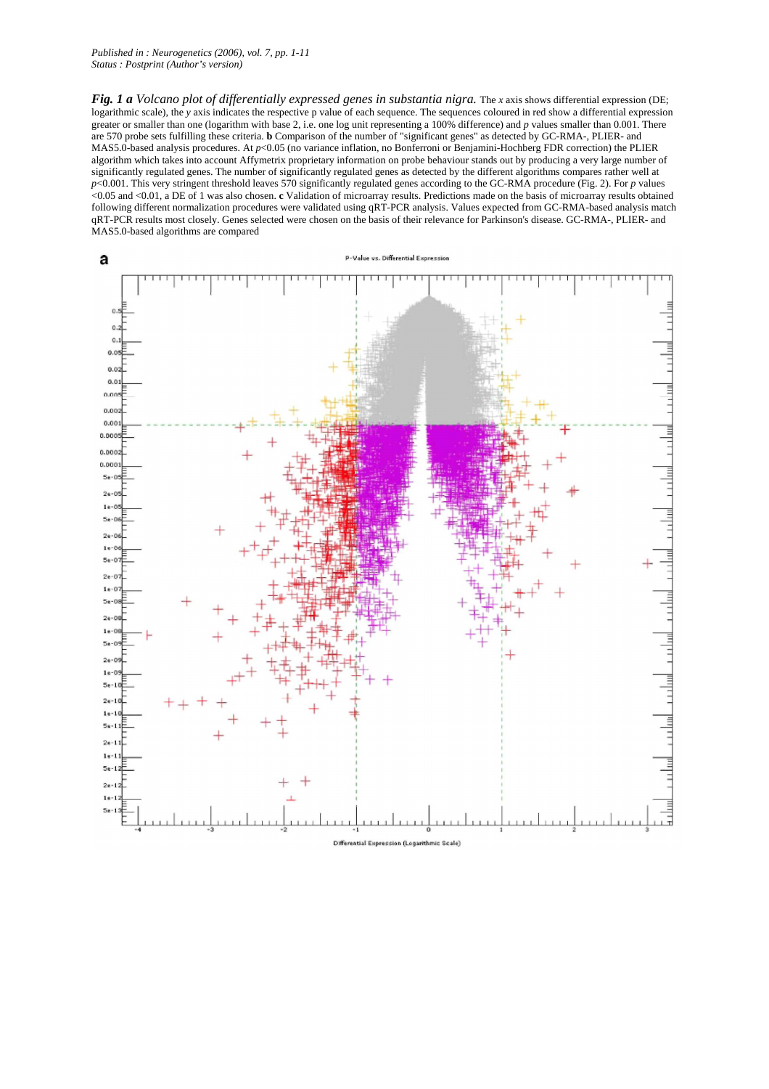*Fig. 1 a Volcano plot of differentially expressed genes in substantia nigra. The <i>x* axis shows differential expression (DE; logarithmic scale), the *y* axis indicates the respective p value of each sequence. The sequences coloured in red show a differential expression greater or smaller than one (logarithm with base 2, i.e. one log unit representing a 100% difference) and *p* values smaller than 0.001. There are 570 probe sets fulfilling these criteria. **b** Comparison of the number of "significant genes" as detected by GC-RMA-, PLIER- and MAS5.0-based analysis procedures. At *p*<0.05 (no variance inflation, no Bonferroni or Benjamini-Hochberg FDR correction) the PLIER algorithm which takes into account Affymetrix proprietary information on probe behaviour stands out by producing a very large number of significantly regulated genes. The number of significantly regulated genes as detected by the different algorithms compares rather well at *p*<0.001. This very stringent threshold leaves 570 significantly regulated genes according to the GC-RMA procedure (Fig. 2). For *p* values <0.05 and <0.01, a DE of 1 was also chosen. **c** Validation of microarray results. Predictions made on the basis of microarray results obtained following different normalization procedures were validated using qRT-PCR analysis. Values expected from GC-RMA-based analysis match qRT-PCR results most closely. Genes selected were chosen on the basis of their relevance for Parkinson's disease. GC-RMA-, PLIER- and MAS5.0-based algorithms are compared

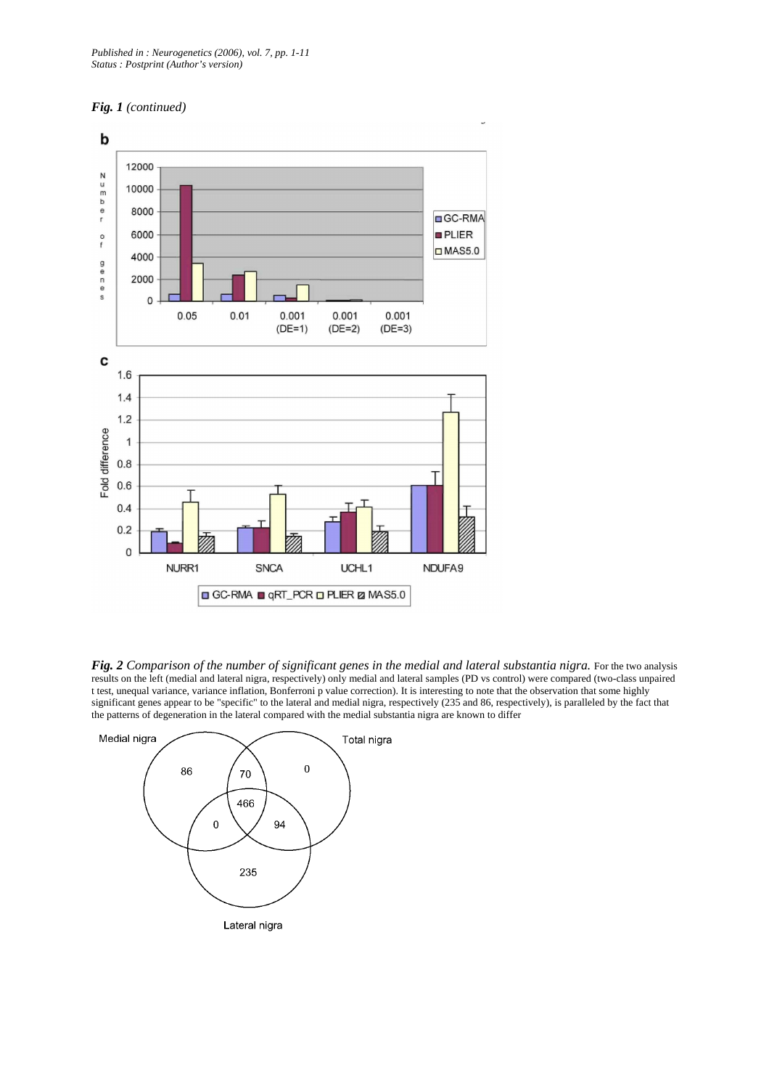



*Fig. 2 Comparison of the number of significant genes in the medial and lateral substantia nigra. For the two analysis* results on the left (medial and lateral nigra, respectively) only medial and lateral samples (PD vs control) were compared (two-class unpaired t test, unequal variance, variance inflation, Bonferroni p value correction). It is interesting to note that the observation that some highly significant genes appear to be "specific" to the lateral and medial nigra, respectively (235 and 86, respectively), is paralleled by the fact that the patterns of degeneration in the lateral compared with the medial substantia nigra are known to differ

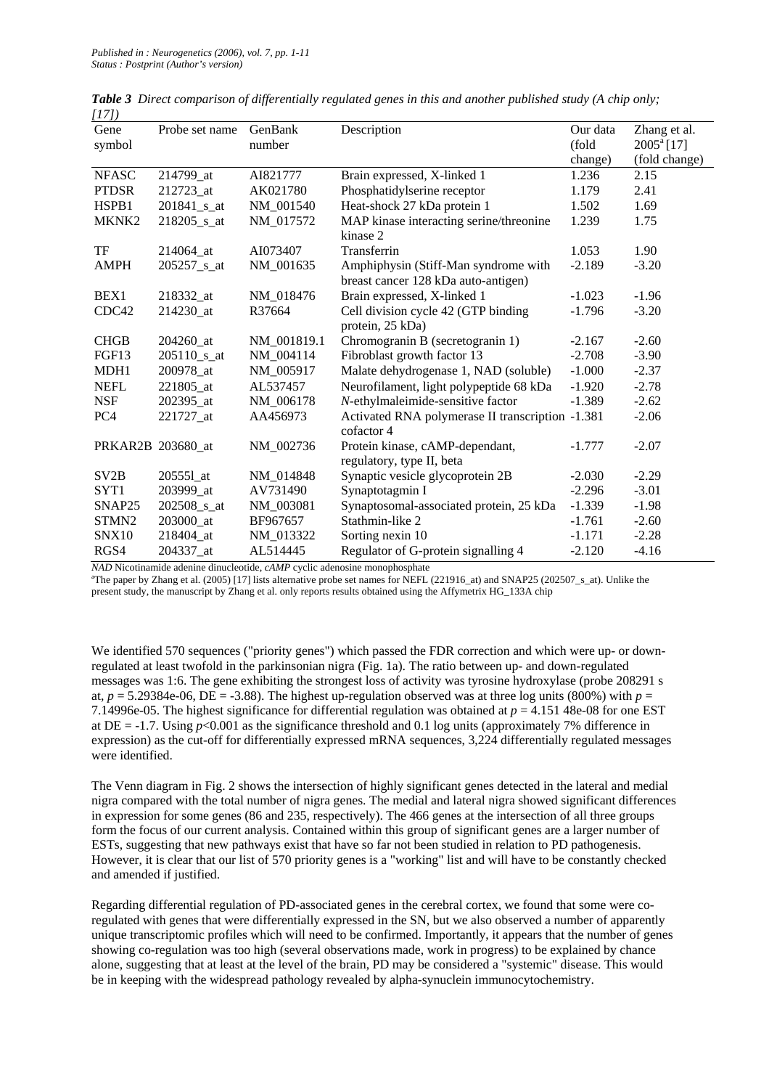| $\ldots$<br>Gene   | Probe set name    | GenBank     | Description                                                                 | Our data | Zhang et al.        |
|--------------------|-------------------|-------------|-----------------------------------------------------------------------------|----------|---------------------|
| symbol             |                   | number      |                                                                             | (fold    | $2005^{\circ}$ [17] |
|                    |                   |             |                                                                             | change)  | (fold change)       |
| <b>NFASC</b>       | 214799_at         | AI821777    | Brain expressed, X-linked 1                                                 | 1.236    | 2.15                |
| <b>PTDSR</b>       | 212723 at         | AK021780    | Phosphatidylserine receptor                                                 | 1.179    | 2.41                |
| HSPB1              | $201841$ _s_at    | NM 001540   | Heat-shock 27 kDa protein 1                                                 | 1.502    | 1.69                |
| MKNK2              | 218205 s at       | NM 017572   | MAP kinase interacting serine/threonine<br>kinase 2                         | 1.239    | 1.75                |
| TF                 | 214064 at         | AI073407    | Transferrin                                                                 | 1.053    | 1.90                |
| <b>AMPH</b>        | $205257$ _s_at    | NM_001635   | Amphiphysin (Stiff-Man syndrome with<br>breast cancer 128 kDa auto-antigen) | $-2.189$ | $-3.20$             |
| BEX1               | 218332 at         | NM 018476   | Brain expressed, X-linked 1                                                 | $-1.023$ | $-1.96$             |
| CDC42              | 214230 at         | R37664      | Cell division cycle 42 (GTP binding<br>protein, 25 kDa)                     | $-1.796$ | $-3.20$             |
| <b>CHGB</b>        | 204260 at         | NM 001819.1 | Chromogranin B (secretogranin 1)                                            | $-2.167$ | $-2.60$             |
| FGF13              | 205110 s at       | NM 004114   | Fibroblast growth factor 13                                                 | $-2.708$ | $-3.90$             |
| MDH1               | 200978 at         | NM 005917   | Malate dehydrogenase 1, NAD (soluble)                                       | $-1.000$ | $-2.37$             |
| <b>NEFL</b>        | 221805 at         | AL537457    | Neurofilament, light polypeptide 68 kDa                                     | $-1.920$ | $-2.78$             |
| <b>NSF</b>         | 202395_at         | NM 006178   | N-ethylmaleimide-sensitive factor                                           | $-1.389$ | $-2.62$             |
| PC <sub>4</sub>    | 221727 at         | AA456973    | Activated RNA polymerase II transcription -1.381<br>cofactor 4              |          | $-2.06$             |
|                    | PRKAR2B 203680_at | NM 002736   | Protein kinase, cAMP-dependant,<br>regulatory, type II, beta                | $-1.777$ | $-2.07$             |
| SV <sub>2</sub> B  | 205551_at         | NM_014848   | Synaptic vesicle glycoprotein 2B                                            | $-2.030$ | $-2.29$             |
| SYT1               | 203999 at         | AV731490    | Synaptotagmin I                                                             | $-2.296$ | $-3.01$             |
| SNAP <sub>25</sub> | $202508$ _s_at    | NM_003081   | Synaptosomal-associated protein, 25 kDa                                     | $-1.339$ | $-1.98$             |
| STMN2              | 203000 at         | BF967657    | Stathmin-like 2                                                             | $-1.761$ | $-2.60$             |
| SNX10              | 218404_at         | NM 013322   | Sorting nexin 10                                                            | $-1.171$ | $-2.28$             |
| RGS4               | 204337 at         | AL514445    | Regulator of G-protein signalling 4                                         | $-2.120$ | $-4.16$             |

*Table 3 Direct comparison of differentially regulated genes in this and another published study (A chip only; [17])*

*NAD* Nicotinamide adenine dinucleotide, *cAMP* cyclic adenosine monophosphate

<sup>a</sup>The paper by Zhang et al. (2005) [17] lists alternative probe set names for NEFL (221916\_at) and SNAP25 (202507\_s\_at). Unlike the present study, the manuscript by Zhang et al. only reports results obtained using the Affymetrix HG\_133A chip

We identified 570 sequences ("priority genes") which passed the FDR correction and which were up- or downregulated at least twofold in the parkinsonian nigra (Fig. 1a). The ratio between up- and down-regulated messages was 1:6. The gene exhibiting the strongest loss of activity was tyrosine hydroxylase (probe 208291 s at,  $p = 5.29384e-06$ , DE =  $-3.88$ ). The highest up-regulation observed was at three log units (800%) with  $p =$ 7.14996e-05. The highest significance for differential regulation was obtained at *p* = 4.151 48e-08 for one EST at  $DE = -1.7$ . Using  $p < 0.001$  as the significance threshold and 0.1 log units (approximately 7% difference in expression) as the cut-off for differentially expressed mRNA sequences, 3,224 differentially regulated messages were identified.

The Venn diagram in Fig. 2 shows the intersection of highly significant genes detected in the lateral and medial nigra compared with the total number of nigra genes. The medial and lateral nigra showed significant differences in expression for some genes (86 and 235, respectively). The 466 genes at the intersection of all three groups form the focus of our current analysis. Contained within this group of significant genes are a larger number of ESTs, suggesting that new pathways exist that have so far not been studied in relation to PD pathogenesis. However, it is clear that our list of 570 priority genes is a "working" list and will have to be constantly checked and amended if justified.

Regarding differential regulation of PD-associated genes in the cerebral cortex, we found that some were coregulated with genes that were differentially expressed in the SN, but we also observed a number of apparently unique transcriptomic profiles which will need to be confirmed. Importantly, it appears that the number of genes showing co-regulation was too high (several observations made, work in progress) to be explained by chance alone, suggesting that at least at the level of the brain, PD may be considered a "systemic" disease. This would be in keeping with the widespread pathology revealed by alpha-synuclein immunocytochemistry.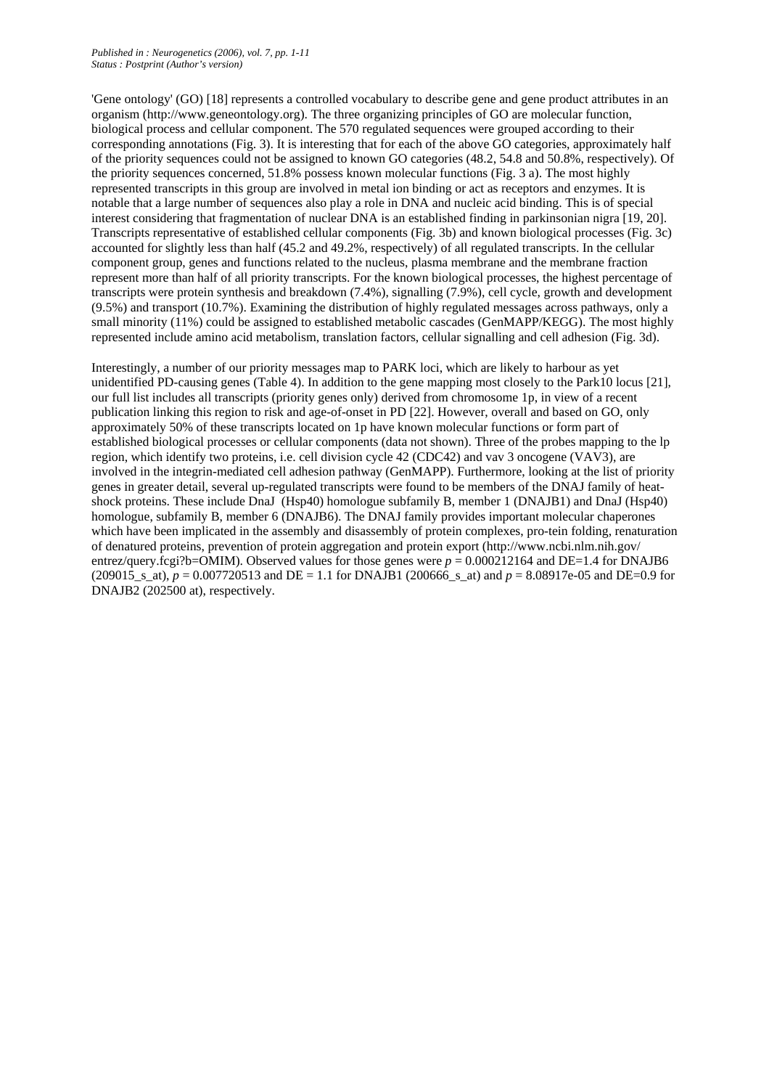'Gene ontology' (GO) [18] represents a controlled vocabulary to describe gene and gene product attributes in an organism (http://www.geneontology.org). The three organizing principles of GO are molecular function, biological process and cellular component. The 570 regulated sequences were grouped according to their corresponding annotations (Fig. 3). It is interesting that for each of the above GO categories, approximately half of the priority sequences could not be assigned to known GO categories (48.2, 54.8 and 50.8%, respectively). Of the priority sequences concerned, 51.8% possess known molecular functions (Fig. 3 a). The most highly represented transcripts in this group are involved in metal ion binding or act as receptors and enzymes. It is notable that a large number of sequences also play a role in DNA and nucleic acid binding. This is of special interest considering that fragmentation of nuclear DNA is an established finding in parkinsonian nigra [19, 20]. Transcripts representative of established cellular components (Fig. 3b) and known biological processes (Fig. 3c) accounted for slightly less than half (45.2 and 49.2%, respectively) of all regulated transcripts. In the cellular component group, genes and functions related to the nucleus, plasma membrane and the membrane fraction represent more than half of all priority transcripts. For the known biological processes, the highest percentage of transcripts were protein synthesis and breakdown (7.4%), signalling (7.9%), cell cycle, growth and development (9.5%) and transport (10.7%). Examining the distribution of highly regulated messages across pathways, only a small minority (11%) could be assigned to established metabolic cascades (GenMAPP/KEGG). The most highly represented include amino acid metabolism, translation factors, cellular signalling and cell adhesion (Fig. 3d).

Interestingly, a number of our priority messages map to PARK loci, which are likely to harbour as yet unidentified PD-causing genes (Table 4). In addition to the gene mapping most closely to the Park10 locus [21], our full list includes all transcripts (priority genes only) derived from chromosome 1p, in view of a recent publication linking this region to risk and age-of-onset in PD [22]. However, overall and based on GO, only approximately 50% of these transcripts located on 1p have known molecular functions or form part of established biological processes or cellular components (data not shown). Three of the probes mapping to the lp region, which identify two proteins, i.e. cell division cycle 42 (CDC42) and vav 3 oncogene (VAV3), are involved in the integrin-mediated cell adhesion pathway (GenMAPP). Furthermore, looking at the list of priority genes in greater detail, several up-regulated transcripts were found to be members of the DNAJ family of heatshock proteins. These include DnaJ (Hsp40) homologue subfamily B, member 1 (DNAJB1) and DnaJ (Hsp40) homologue, subfamily B, member 6 (DNAJB6). The DNAJ family provides important molecular chaperones which have been implicated in the assembly and disassembly of protein complexes, pro-tein folding, renaturation of denatured proteins, prevention of protein aggregation and protein export (http://www.ncbi.nlm.nih.gov/ entrez/query.fcgi?b=OMIM). Observed values for those genes were  $p = 0.000212164$  and DE=1.4 for DNAJB6 (209015 s at),  $p = 0.007720513$  and DE = 1.1 for DNAJB1 (200666 s at) and  $p = 8.08917e-05$  and DE=0.9 for DNAJB2 (202500 at), respectively.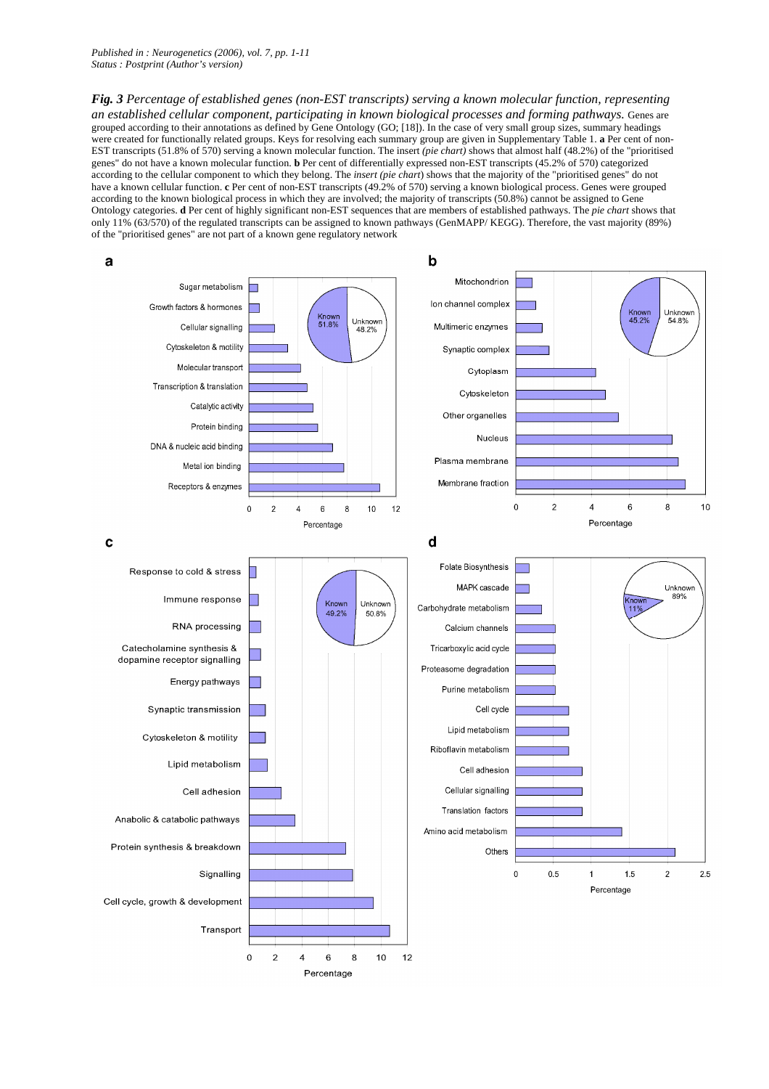*Published in : Neurogenetics (2006), vol. 7, pp. 1-11 Status : Postprint (Author's version)* 

*Fig. 3 Percentage of established genes (non-EST transcripts) serving a known molecular function, representing an established cellular component, participating in known biological processes and forming pathways.* Genes are grouped according to their annotations as defined by Gene Ontology (GO; [18]). In the case of very small group sizes, summary headings were created for functionally related groups. Keys for resolving each summary group are given in Supplementary Table 1. **a** Per cent of non-EST transcripts (51.8% of 570) serving a known molecular function. The insert *(pie chart)* shows that almost half (48.2%) of the "prioritised genes" do not have a known molecular function. **b** Per cent of differentially expressed non-EST transcripts (45.2% of 570) categorized according to the cellular component to which they belong. The *insert (pie chart*) shows that the majority of the "prioritised genes" do not have a known cellular function. **c** Per cent of non-EST transcripts (49.2% of 570) serving a known biological process. Genes were grouped according to the known biological process in which they are involved; the majority of transcripts (50.8%) cannot be assigned to Gene Ontology categories. **d** Per cent of highly significant non-EST sequences that are members of established pathways. The *pie chart* shows that only 11% (63/570) of the regulated transcripts can be assigned to known pathways (GenMAPP/ KEGG). Therefore, the vast majority (89%) of the "prioritised genes" are not part of a known gene regulatory network



Percentage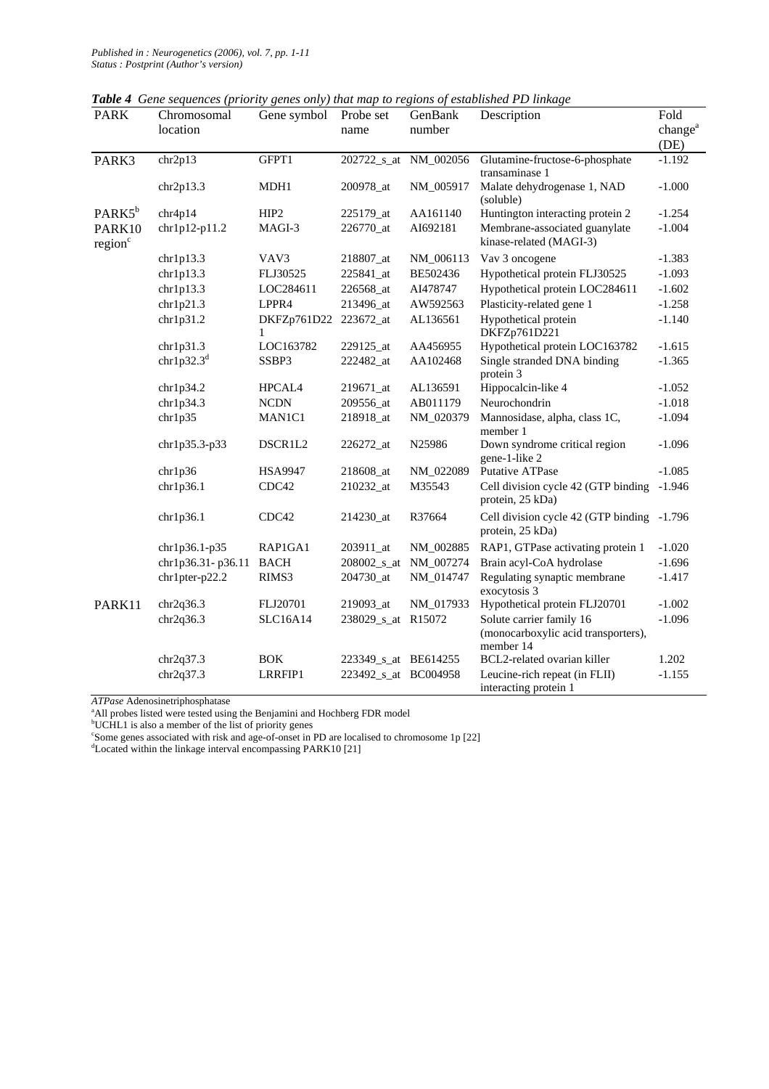|  | Table 4 Gene sequences (priority genes only) that map to regions of established PD linkage |  |  |  |  |  |  |  |
|--|--------------------------------------------------------------------------------------------|--|--|--|--|--|--|--|
|--|--------------------------------------------------------------------------------------------|--|--|--|--|--|--|--|

| <b>PARK</b>                   | Chromosomal       | Gene symbol      | Probe set            | GenBank               | Description                                                                  | Fold                        |
|-------------------------------|-------------------|------------------|----------------------|-----------------------|------------------------------------------------------------------------------|-----------------------------|
|                               | location          |                  | name                 | number                |                                                                              | change <sup>a</sup><br>(DE) |
| PARK3                         | chr2p13           | GFPT1            |                      | 202722_s_at NM_002056 | Glutamine-fructose-6-phosphate<br>transaminase 1                             | $-1.192$                    |
|                               | chr2p13.3         | MDH1             | 200978_at            | NM_005917             | Malate dehydrogenase 1, NAD<br>(soluble)                                     | $-1.000$                    |
| PARK5 <sup>b</sup>            | chr4p14           | HIP <sub>2</sub> | 225179_at            | AA161140              | Huntington interacting protein 2                                             | $-1.254$                    |
| PARK10<br>region <sup>c</sup> | chr1p12-p11.2     | MAGI-3           | 226770_at            | AI692181              | Membrane-associated guanylate<br>kinase-related (MAGI-3)                     | $-1.004$                    |
|                               | chr1p13.3         | VAV3             | 218807_at            | NM_006113             | Vav 3 oncogene                                                               | $-1.383$                    |
|                               | chr1p13.3         | FLJ30525         | 225841_at            | BE502436              | Hypothetical protein FLJ30525                                                | $-1.093$                    |
|                               | chr1p13.3         | LOC284611        | 226568_at            | AI478747              | Hypothetical protein LOC284611                                               | $-1.602$                    |
|                               | chr1p21.3         | LPPR4            | 213496_at            | AW592563              | Plasticity-related gene 1                                                    | $-1.258$                    |
|                               | chr1p31.2         | DKFZp761D22<br>1 | 223672_at            | AL136561              | Hypothetical protein<br>DKFZp761D221                                         | $-1.140$                    |
|                               | chr1p31.3         | LOC163782        | 229125_at            | AA456955              | Hypothetical protein LOC163782                                               | $-1.615$                    |
|                               | chr1p32.3 $d$     | SSBP3            | 222482_at            | AA102468              | Single stranded DNA binding<br>protein 3                                     | $-1.365$                    |
|                               | chr1p34.2         | HPCAL4           | 219671_at            | AL136591              | Hippocalcin-like 4                                                           | $-1.052$                    |
|                               | chr1p34.3         | <b>NCDN</b>      | 209556_at            | AB011179              | Neurochondrin                                                                | $-1.018$                    |
|                               | chr1p35           | MAN1C1           | 218918_at            | NM_020379             | Mannosidase, alpha, class 1C,<br>member 1                                    | $-1.094$                    |
|                               | $chr1p35.3-p33$   | DSCR1L2          | 226272_at            | N25986                | Down syndrome critical region<br>gene-1-like 2                               | $-1.096$                    |
|                               | chr1p36           | <b>HSA9947</b>   | 218608_at            | NM_022089             | Putative ATPase                                                              | $-1.085$                    |
|                               | chr1p36.1         | CDC42            | 210232_at            | M35543                | Cell division cycle 42 (GTP binding<br>protein, 25 kDa)                      | $-1.946$                    |
|                               | chr1p36.1         | CDC42            | 214230_at            | R37664                | Cell division cycle 42 (GTP binding -1.796<br>protein, 25 kDa)               |                             |
|                               | $chr1p36.1-p35$   | RAP1GA1          | 203911_at            | NM_002885             | RAP1, GTPase activating protein 1                                            | $-1.020$                    |
|                               | chr1p36.31-p36.11 | <b>BACH</b>      |                      | 208002_s_at NM_007274 | Brain acyl-CoA hydrolase                                                     | $-1.696$                    |
|                               | chr1pter-p22.2    | RIMS3            | 204730_at            | NM_014747             | Regulating synaptic membrane<br>exocytosis 3                                 | $-1.417$                    |
| PARK11                        | chr2q36.3         | FLJ20701         | 219093_at            | NM_017933             | Hypothetical protein FLJ20701                                                | $-1.002$                    |
|                               | chr2q36.3         | <b>SLC16A14</b>  | 238029_s_at R15072   |                       | Solute carrier family 16<br>(monocarboxylic acid transporters),<br>member 14 | $-1.096$                    |
|                               | chr2q37.3         | <b>BOK</b>       | 223349_s_at BE614255 |                       | BCL2-related ovarian killer                                                  | 1.202                       |
|                               | chr2q37.3         | LRRFIP1          | 223492_s_at BC004958 |                       | Leucine-rich repeat (in FLII)<br>interacting protein 1                       | $-1.155$                    |

*ATPase* Adenosinetriphosphatase

<sup>a</sup>All probes listed were tested using the Benjamini and Hochberg FDR model

bUCHL1 is also a member of the list of priority genes

<sup>c</sup>Some genes associated with risk and age-of-onset in PD are localised to chromosome 1p [22]

<sup>d</sup>Located within the linkage interval encompassing PARK10 [21]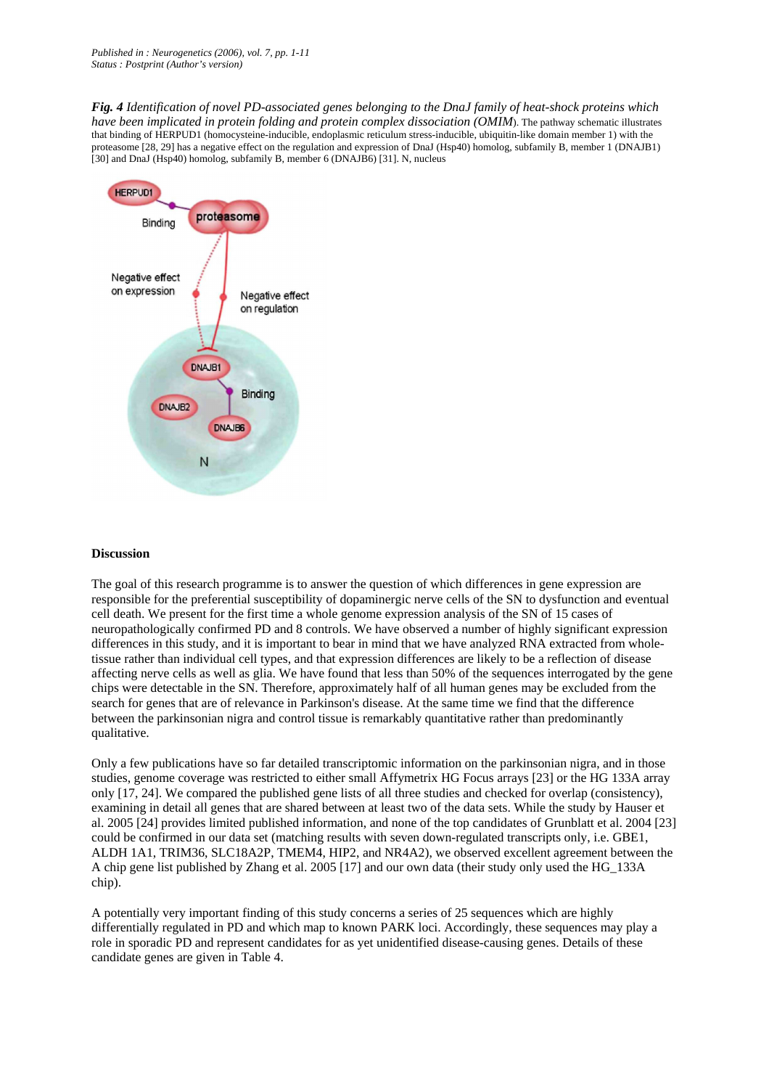*Fig. 4 Identification of novel PD-associated genes belonging to the DnaJ family of heat-shock proteins which have been implicated in protein folding and protein complex dissociation (OMIM)*. The pathway schematic illustrates that binding of HERPUD1 (homocysteine-inducible, endoplasmic reticulum stress-inducible, ubiquitin-like domain member 1) with the proteasome [28, 29] has a negative effect on the regulation and expression of DnaJ (Hsp40) homolog, subfamily B, member 1 (DNAJB1) [30] and DnaJ (Hsp40) homolog, subfamily B, member 6 (DNAJB6) [31]. N, nucleus



#### **Discussion**

The goal of this research programme is to answer the question of which differences in gene expression are responsible for the preferential susceptibility of dopaminergic nerve cells of the SN to dysfunction and eventual cell death. We present for the first time a whole genome expression analysis of the SN of 15 cases of neuropathologically confirmed PD and 8 controls. We have observed a number of highly significant expression differences in this study, and it is important to bear in mind that we have analyzed RNA extracted from wholetissue rather than individual cell types, and that expression differences are likely to be a reflection of disease affecting nerve cells as well as glia. We have found that less than 50% of the sequences interrogated by the gene chips were detectable in the SN. Therefore, approximately half of all human genes may be excluded from the search for genes that are of relevance in Parkinson's disease. At the same time we find that the difference between the parkinsonian nigra and control tissue is remarkably quantitative rather than predominantly qualitative.

Only a few publications have so far detailed transcriptomic information on the parkinsonian nigra, and in those studies, genome coverage was restricted to either small Affymetrix HG Focus arrays [23] or the HG 133A array only [17, 24]. We compared the published gene lists of all three studies and checked for overlap (consistency), examining in detail all genes that are shared between at least two of the data sets. While the study by Hauser et al. 2005 [24] provides limited published information, and none of the top candidates of Grunblatt et al. 2004 [23] could be confirmed in our data set (matching results with seven down-regulated transcripts only, i.e. GBE1, ALDH 1A1, TRIM36, SLC18A2P, TMEM4, HIP2, and NR4A2), we observed excellent agreement between the A chip gene list published by Zhang et al. 2005 [17] and our own data (their study only used the HG\_133A chip).

A potentially very important finding of this study concerns a series of 25 sequences which are highly differentially regulated in PD and which map to known PARK loci. Accordingly, these sequences may play a role in sporadic PD and represent candidates for as yet unidentified disease-causing genes. Details of these candidate genes are given in Table 4.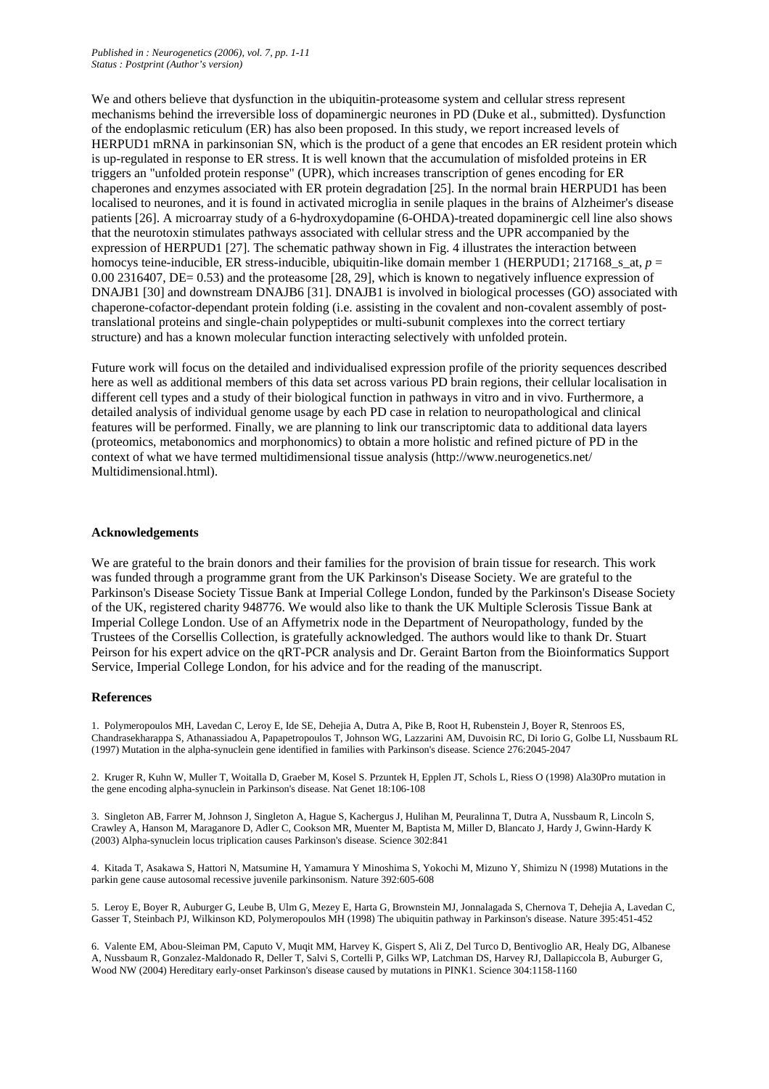We and others believe that dysfunction in the ubiquitin-proteasome system and cellular stress represent mechanisms behind the irreversible loss of dopaminergic neurones in PD (Duke et al., submitted). Dysfunction of the endoplasmic reticulum (ER) has also been proposed. In this study, we report increased levels of HERPUD1 mRNA in parkinsonian SN, which is the product of a gene that encodes an ER resident protein which is up-regulated in response to ER stress. It is well known that the accumulation of misfolded proteins in ER triggers an "unfolded protein response" (UPR), which increases transcription of genes encoding for ER chaperones and enzymes associated with ER protein degradation [25]. In the normal brain HERPUD1 has been localised to neurones, and it is found in activated microglia in senile plaques in the brains of Alzheimer's disease patients [26]. A microarray study of a 6-hydroxydopamine (6-OHDA)-treated dopaminergic cell line also shows that the neurotoxin stimulates pathways associated with cellular stress and the UPR accompanied by the expression of HERPUD1 [27]. The schematic pathway shown in Fig. 4 illustrates the interaction between homocys teine-inducible, ER stress-inducible, ubiquitin-like domain member 1 (HERPUD1; 217168 s at,  $p =$ 0.00 2316407, DE= 0.53) and the proteasome [28, 29], which is known to negatively influence expression of DNAJB1 [30] and downstream DNAJB6 [31]. DNAJB1 is involved in biological processes (GO) associated with chaperone-cofactor-dependant protein folding (i.e. assisting in the covalent and non-covalent assembly of posttranslational proteins and single-chain polypeptides or multi-subunit complexes into the correct tertiary structure) and has a known molecular function interacting selectively with unfolded protein.

Future work will focus on the detailed and individualised expression profile of the priority sequences described here as well as additional members of this data set across various PD brain regions, their cellular localisation in different cell types and a study of their biological function in pathways in vitro and in vivo. Furthermore, a detailed analysis of individual genome usage by each PD case in relation to neuropathological and clinical features will be performed. Finally, we are planning to link our transcriptomic data to additional data layers (proteomics, metabonomics and morphonomics) to obtain a more holistic and refined picture of PD in the context of what we have termed multidimensional tissue analysis (http://www.neurogenetics.net/ Multidimensional.html).

## **Acknowledgements**

We are grateful to the brain donors and their families for the provision of brain tissue for research. This work was funded through a programme grant from the UK Parkinson's Disease Society. We are grateful to the Parkinson's Disease Society Tissue Bank at Imperial College London, funded by the Parkinson's Disease Society of the UK, registered charity 948776. We would also like to thank the UK Multiple Sclerosis Tissue Bank at Imperial College London. Use of an Affymetrix node in the Department of Neuropathology, funded by the Trustees of the Corsellis Collection, is gratefully acknowledged. The authors would like to thank Dr. Stuart Peirson for his expert advice on the qRT-PCR analysis and Dr. Geraint Barton from the Bioinformatics Support Service, Imperial College London, for his advice and for the reading of the manuscript.

#### **References**

1. Polymeropoulos MH, Lavedan C, Leroy E, Ide SE, Dehejia A, Dutra A, Pike B, Root H, Rubenstein J, Boyer R, Stenroos ES, Chandrasekharappa S, Athanassiadou A, Papapetropoulos T, Johnson WG, Lazzarini AM, Duvoisin RC, Di Iorio G, Golbe LI, Nussbaum RL (1997) Mutation in the alpha-synuclein gene identified in families with Parkinson's disease. Science 276:2045-2047

2. Kruger R, Kuhn W, Muller T, Woitalla D, Graeber M, Kosel S. Przuntek H, Epplen JT, Schols L, Riess O (1998) Ala30Pro mutation in the gene encoding alpha-synuclein in Parkinson's disease. Nat Genet 18:106-108

3. Singleton AB, Farrer M, Johnson J, Singleton A, Hague S, Kachergus J, Hulihan M, Peuralinna T, Dutra A, Nussbaum R, Lincoln S, Crawley A, Hanson M, Maraganore D, Adler C, Cookson MR, Muenter M, Baptista M, Miller D, Blancato J, Hardy J, Gwinn-Hardy K (2003) Alpha-synuclein locus triplication causes Parkinson's disease. Science 302:841

4. Kitada T, Asakawa S, Hattori N, Matsumine H, Yamamura Y Minoshima S, Yokochi M, Mizuno Y, Shimizu N (1998) Mutations in the parkin gene cause autosomal recessive juvenile parkinsonism. Nature 392:605-608

5. Leroy E, Boyer R, Auburger G, Leube B, Ulm G, Mezey E, Harta G, Brownstein MJ, Jonnalagada S, Chernova T, Dehejia A, Lavedan C, Gasser T, Steinbach PJ, Wilkinson KD, Polymeropoulos MH (1998) The ubiquitin pathway in Parkinson's disease. Nature 395:451-452

6. Valente EM, Abou-Sleiman PM, Caputo V, Muqit MM, Harvey K, Gispert S, Ali Z, Del Turco D, Bentivoglio AR, Healy DG, Albanese A, Nussbaum R, Gonzalez-Maldonado R, Deller T, Salvi S, Cortelli P, Gilks WP, Latchman DS, Harvey RJ, Dallapiccola B, Auburger G, Wood NW (2004) Hereditary early-onset Parkinson's disease caused by mutations in PINK1. Science 304:1158-1160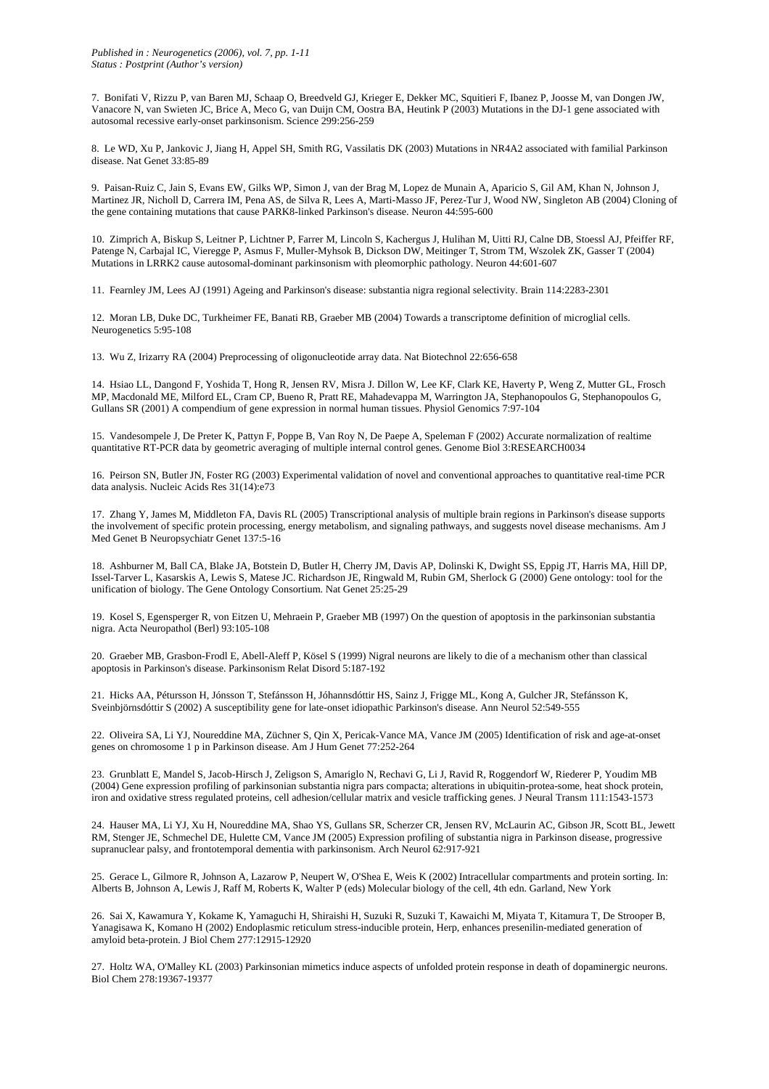7. Bonifati V, Rizzu P, van Baren MJ, Schaap O, Breedveld GJ, Krieger E, Dekker MC, Squitieri F, Ibanez P, Joosse M, van Dongen JW, Vanacore N, van Swieten JC, Brice A, Meco G, van Duijn CM, Oostra BA, Heutink P (2003) Mutations in the DJ-1 gene associated with autosomal recessive early-onset parkinsonism. Science 299:256-259

8. Le WD, Xu P, Jankovic J, Jiang H, Appel SH, Smith RG, Vassilatis DK (2003) Mutations in NR4A2 associated with familial Parkinson disease. Nat Genet 33:85-89

9. Paisan-Ruiz C, Jain S, Evans EW, Gilks WP, Simon J, van der Brag M, Lopez de Munain A, Aparicio S, Gil AM, Khan N, Johnson J, Martinez JR, Nicholl D, Carrera IM, Pena AS, de Silva R, Lees A, Marti-Masso JF, Perez-Tur J, Wood NW, Singleton AB (2004) Cloning of the gene containing mutations that cause PARK8-linked Parkinson's disease. Neuron 44:595-600

10. Zimprich A, Biskup S, Leitner P, Lichtner P, Farrer M, Lincoln S, Kachergus J, Hulihan M, Uitti RJ, Calne DB, Stoessl AJ, Pfeiffer RF, Patenge N, Carbajal IC, Vieregge P, Asmus F, Muller-Myhsok B, Dickson DW, Meitinger T, Strom TM, Wszolek ZK, Gasser T (2004) Mutations in LRRK2 cause autosomal-dominant parkinsonism with pleomorphic pathology. Neuron 44:601-607

11. Fearnley JM, Lees AJ (1991) Ageing and Parkinson's disease: substantia nigra regional selectivity. Brain 114:2283-2301

12. Moran LB, Duke DC, Turkheimer FE, Banati RB, Graeber MB (2004) Towards a transcriptome definition of microglial cells. Neurogenetics 5:95-108

13. Wu Z, Irizarry RA (2004) Preprocessing of oligonucleotide array data. Nat Biotechnol 22:656-658

14. Hsiao LL, Dangond F, Yoshida T, Hong R, Jensen RV, Misra J. Dillon W, Lee KF, Clark KE, Haverty P, Weng Z, Mutter GL, Frosch MP, Macdonald ME, Milford EL, Cram CP, Bueno R, Pratt RE, Mahadevappa M, Warrington JA, Stephanopoulos G, Stephanopoulos G, Gullans SR (2001) A compendium of gene expression in normal human tissues. Physiol Genomics 7:97-104

15. Vandesompele J, De Preter K, Pattyn F, Poppe B, Van Roy N, De Paepe A, Speleman F (2002) Accurate normalization of realtime quantitative RT-PCR data by geometric averaging of multiple internal control genes. Genome Biol 3:RESEARCH0034

16. Peirson SN, Butler JN, Foster RG (2003) Experimental validation of novel and conventional approaches to quantitative real-time PCR data analysis. Nucleic Acids Res 31(14):e73

17. Zhang Y, James M, Middleton FA, Davis RL (2005) Transcriptional analysis of multiple brain regions in Parkinson's disease supports the involvement of specific protein processing, energy metabolism, and signaling pathways, and suggests novel disease mechanisms. Am J Med Genet B Neuropsychiatr Genet 137:5-16

18. Ashburner M, Ball CA, Blake JA, Botstein D, Butler H, Cherry JM, Davis AP, Dolinski K, Dwight SS, Eppig JT, Harris MA, Hill DP, Issel-Tarver L, Kasarskis A, Lewis S, Matese JC. Richardson JE, Ringwald M, Rubin GM, Sherlock G (2000) Gene ontology: tool for the unification of biology. The Gene Ontology Consortium. Nat Genet 25:25-29

19. Kosel S, Egensperger R, von Eitzen U, Mehraein P, Graeber MB (1997) On the question of apoptosis in the parkinsonian substantia nigra. Acta Neuropathol (Berl) 93:105-108

20. Graeber MB, Grasbon-Frodl E, Abell-Aleff P, Kösel S (1999) Nigral neurons are likely to die of a mechanism other than classical apoptosis in Parkinson's disease. Parkinsonism Relat Disord 5:187-192

21. Hicks AA, Pétursson H, Jónsson T, Stefánsson H, Jóhannsdóttir HS, Sainz J, Frigge ML, Kong A, Gulcher JR, Stefánsson K, Sveinbjörnsdóttir S (2002) A susceptibility gene for late-onset idiopathic Parkinson's disease. Ann Neurol 52:549-555

22. Oliveira SA, Li YJ, Noureddine MA, Züchner S, Qin X, Pericak-Vance MA, Vance JM (2005) Identification of risk and age-at-onset genes on chromosome 1 p in Parkinson disease. Am J Hum Genet 77:252-264

23. Grunblatt E, Mandel S, Jacob-Hirsch J, Zeligson S, Amariglo N, Rechavi G, Li J, Ravid R, Roggendorf W, Riederer P, Youdim MB (2004) Gene expression profiling of parkinsonian substantia nigra pars compacta; alterations in ubiquitin-protea-some, heat shock protein, iron and oxidative stress regulated proteins, cell adhesion/cellular matrix and vesicle trafficking genes. J Neural Transm 111:1543-1573

24. Hauser MA, Li YJ, Xu H, Noureddine MA, Shao YS, Gullans SR, Scherzer CR, Jensen RV, McLaurin AC, Gibson JR, Scott BL, Jewett RM, Stenger JE, Schmechel DE, Hulette CM, Vance JM (2005) Expression profiling of substantia nigra in Parkinson disease, progressive supranuclear palsy, and frontotemporal dementia with parkinsonism. Arch Neurol 62:917-921

25. Gerace L, Gilmore R, Johnson A, Lazarow P, Neupert W, O'Shea E, Weis K (2002) Intracellular compartments and protein sorting. In: Alberts B, Johnson A, Lewis J, Raff M, Roberts K, Walter P (eds) Molecular biology of the cell, 4th edn. Garland, New York

26. Sai X, Kawamura Y, Kokame K, Yamaguchi H, Shiraishi H, Suzuki R, Suzuki T, Kawaichi M, Miyata T, Kitamura T, De Strooper B, Yanagisawa K, Komano H (2002) Endoplasmic reticulum stress-inducible protein, Herp, enhances presenilin-mediated generation of amyloid beta-protein. J Biol Chem 277:12915-12920

27. Holtz WA, O'Malley KL (2003) Parkinsonian mimetics induce aspects of unfolded protein response in death of dopaminergic neurons. Biol Chem 278:19367-19377